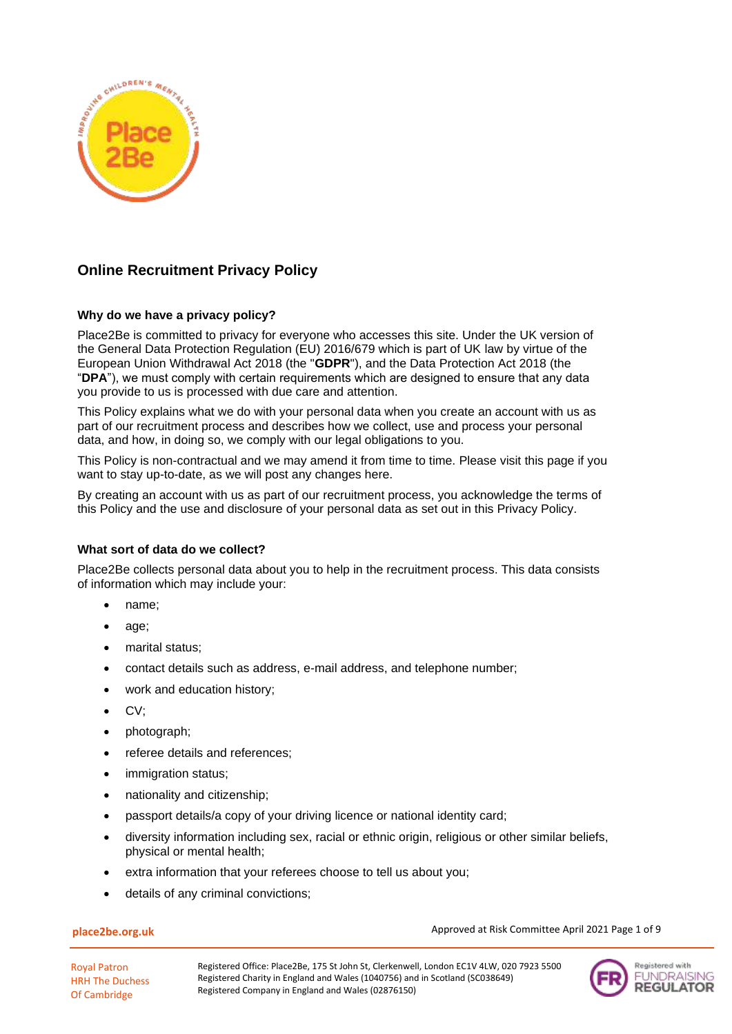

# **Online Recruitment Privacy Policy**

## **Why do we have a privacy policy?**

Place2Be is committed to privacy for everyone who accesses this site. Under the UK version of the General Data Protection Regulation (EU) 2016/679 which is part of UK law by virtue of the European Union Withdrawal Act 2018 (the "**GDPR**"), and the Data Protection Act 2018 (the "**DPA**"), we must comply with certain requirements which are designed to ensure that any data you provide to us is processed with due care and attention.

This Policy explains what we do with your personal data when you create an account with us as part of our recruitment process and describes how we collect, use and process your personal data, and how, in doing so, we comply with our legal obligations to you.

This Policy is non-contractual and we may amend it from time to time. Please visit this page if you want to stay up-to-date, as we will post any changes here.

By creating an account with us as part of our recruitment process, you acknowledge the terms of this Policy and the use and disclosure of your personal data as set out in this Privacy Policy.

### **What sort of data do we collect?**

Place2Be collects personal data about you to help in the recruitment process. This data consists of information which may include your:

- name;
- age;
- marital status;
- contact details such as address, e-mail address, and telephone number;
- work and education history;
- CV;
- photograph;
- referee details and references;
- immigration status;
- nationality and citizenship;
- passport details/a copy of your driving licence or national identity card;
- diversity information including sex, racial or ethnic origin, religious or other similar beliefs, physical or mental health;
- extra information that your referees choose to tell us about you;
- details of any criminal convictions;

### **place2be.org.uk**

Approved at Risk Committee April 2021 Page 1 of 9

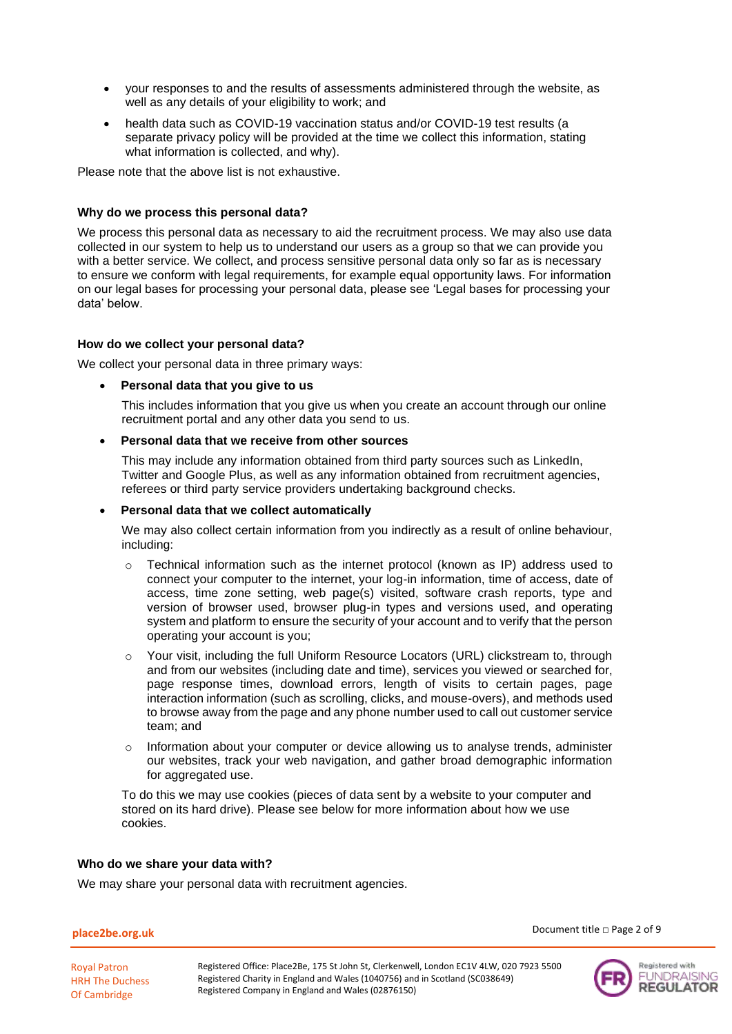- your responses to and the results of assessments administered through the website, as well as any details of your eligibility to work; and
- health data such as COVID-19 vaccination status and/or COVID-19 test results (a separate privacy policy will be provided at the time we collect this information, stating what information is collected, and why).

Please note that the above list is not exhaustive.

### **Why do we process this personal data?**

We process this personal data as necessary to aid the recruitment process. We may also use data collected in our system to help us to understand our users as a group so that we can provide you with a better service. We collect, and process sensitive personal data only so far as is necessary to ensure we conform with legal requirements, for example equal opportunity laws. For information on our legal bases for processing your personal data, please see 'Legal bases for processing your data' below.

### **How do we collect your personal data?**

We collect your personal data in three primary ways:

### • **Personal data that you give to us**

This includes information that you give us when you create an account through our online recruitment portal and any other data you send to us.

### • **Personal data that we receive from other sources**

This may include any information obtained from third party sources such as LinkedIn, Twitter and Google Plus, as well as any information obtained from recruitment agencies, referees or third party service providers undertaking background checks.

### • **Personal data that we collect automatically**

We may also collect certain information from you indirectly as a result of online behaviour, including:

- $\circ$  Technical information such as the internet protocol (known as IP) address used to connect your computer to the internet, your log-in information, time of access, date of access, time zone setting, web page(s) visited, software crash reports, type and version of browser used, browser plug-in types and versions used, and operating system and platform to ensure the security of your account and to verify that the person operating your account is you;
- o Your visit, including the full Uniform Resource Locators (URL) clickstream to, through and from our websites (including date and time), services you viewed or searched for, page response times, download errors, length of visits to certain pages, page interaction information (such as scrolling, clicks, and mouse-overs), and methods used to browse away from the page and any phone number used to call out customer service team; and
- Information about your computer or device allowing us to analyse trends, administer our websites, track your web navigation, and gather broad demographic information for aggregated use.

To do this we may use cookies (pieces of data sent by a website to your computer and stored on its hard drive). Please see below for more information about how we use cookies.

### **Who do we share your data with?**

We may share your personal data with recruitment agencies.

#### **place2be.org.uk**

Document title □ Page 2 of 9



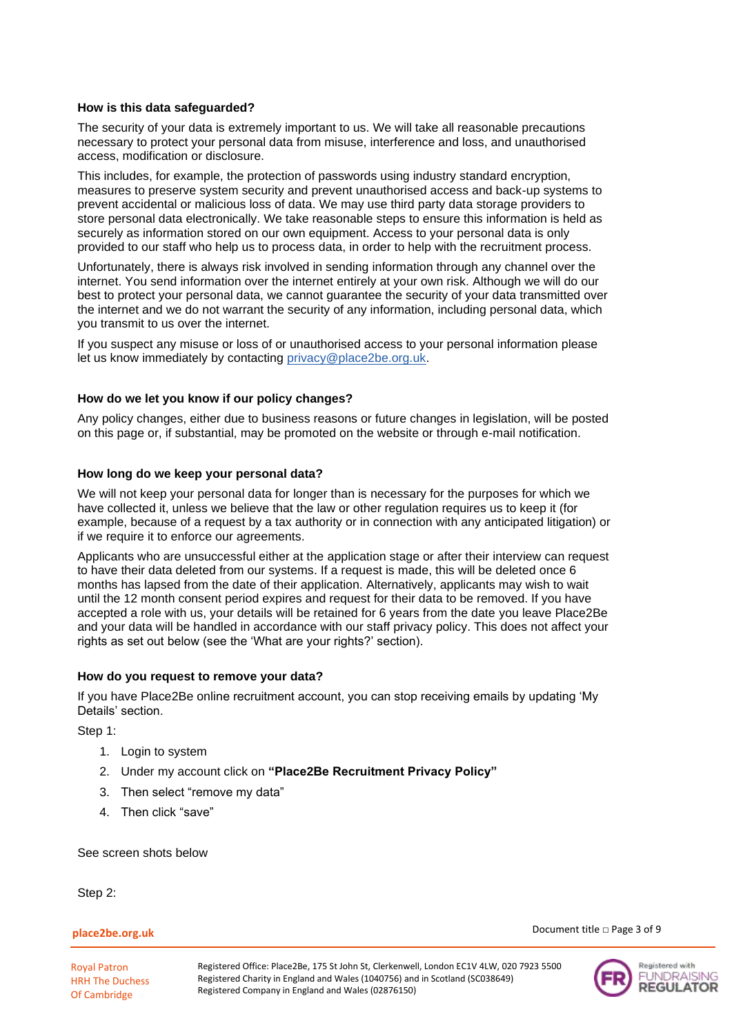### **How is this data safeguarded?**

The security of your data is extremely important to us. We will take all reasonable precautions necessary to protect your personal data from misuse, interference and loss, and unauthorised access, modification or disclosure.

This includes, for example, the protection of passwords using industry standard encryption, measures to preserve system security and prevent unauthorised access and back-up systems to prevent accidental or malicious loss of data. We may use third party data storage providers to store personal data electronically. We take reasonable steps to ensure this information is held as securely as information stored on our own equipment. Access to your personal data is only provided to our staff who help us to process data, in order to help with the recruitment process.

Unfortunately, there is always risk involved in sending information through any channel over the internet. You send information over the internet entirely at your own risk. Although we will do our best to protect your personal data, we cannot guarantee the security of your data transmitted over the internet and we do not warrant the security of any information, including personal data, which you transmit to us over the internet.

If you suspect any misuse or loss of or unauthorised access to your personal information please let us know immediately by contacting [privacy@place2be.org.uk.](mailto:privacy@place2be.org.uk)

### **How do we let you know if our policy changes?**

Any policy changes, either due to business reasons or future changes in legislation, will be posted on this page or, if substantial, may be promoted on the website or through e-mail notification.

### **How long do we keep your personal data?**

We will not keep your personal data for longer than is necessary for the purposes for which we have collected it, unless we believe that the law or other regulation requires us to keep it (for example, because of a request by a tax authority or in connection with any anticipated litigation) or if we require it to enforce our agreements.

Applicants who are unsuccessful either at the application stage or after their interview can request to have their data deleted from our systems. If a request is made, this will be deleted once 6 months has lapsed from the date of their application. Alternatively, applicants may wish to wait until the 12 month consent period expires and request for their data to be removed. If you have accepted a role with us, your details will be retained for 6 years from the date you leave Place2Be and your data will be handled in accordance with our staff privacy policy. This does not affect your rights as set out below (see the 'What are your rights?' section).

### **How do you request to remove your data?**

If you have Place2Be online recruitment account, you can stop receiving emails by updating 'My Details' section.

Step 1:

- 1. Login to system
- 2. Under my account click on **"Place2Be Recruitment Privacy Policy"**
- 3. Then select "remove my data"
- 4. Then click "save"

See screen shots below

Step 2:

### **place2be.org.uk**

Royal Patron HRH The Duchess Of Cambridge

Document title □ Page 3 of 9

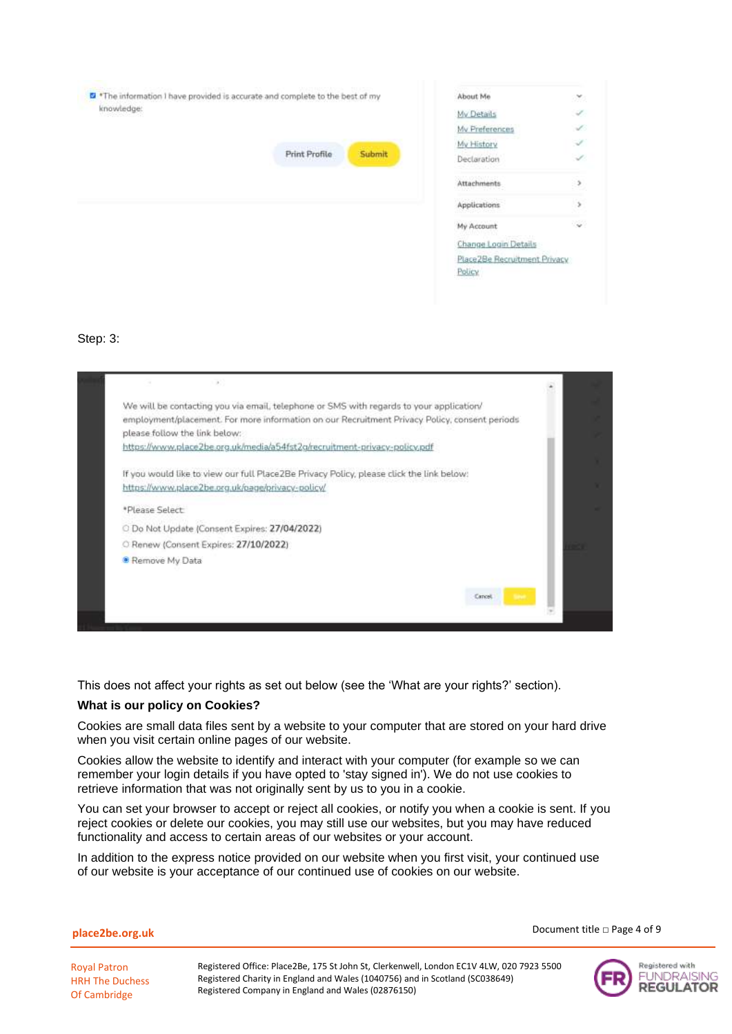| The information I have provided is accurate and complete to the best of my |                      |        | About Me                                                       | $\langle \mathcal{M} \rangle$ |
|----------------------------------------------------------------------------|----------------------|--------|----------------------------------------------------------------|-------------------------------|
| knowledge:                                                                 |                      |        | My Details                                                     | ÷.                            |
|                                                                            |                      |        | My Preferences                                                 | L                             |
|                                                                            |                      |        | My History                                                     | Í                             |
|                                                                            | <b>Print Profile</b> | Submit | Declaration                                                    | ✓                             |
|                                                                            |                      |        | Attachments                                                    | $\,$                          |
|                                                                            |                      |        | <b>Applications</b>                                            | s                             |
|                                                                            |                      |        | My Account                                                     | ್ರ                            |
|                                                                            |                      |        | Change Login Details<br>Place2Be Recruitment Privacy<br>Policy |                               |
|                                                                            |                      |        |                                                                |                               |

### Step: 3:



This does not affect your rights as set out below (see the 'What are your rights?' section).

### **What is our policy on Cookies?**

Cookies are small data files sent by a website to your computer that are stored on your hard drive when you visit certain online pages of our website.

Cookies allow the website to identify and interact with your computer (for example so we can remember your login details if you have opted to 'stay signed in'). We do not use cookies to retrieve information that was not originally sent by us to you in a cookie.

You can set your browser to accept or reject all cookies, or notify you when a cookie is sent. If you reject cookies or delete our cookies, you may still use our websites, but you may have reduced functionality and access to certain areas of our websites or your account.

In addition to the express notice provided on our website when you first visit, your continued use of our website is your acceptance of our continued use of cookies on our website.

**place2be.org.uk**

Document title □ Page 4 of 9

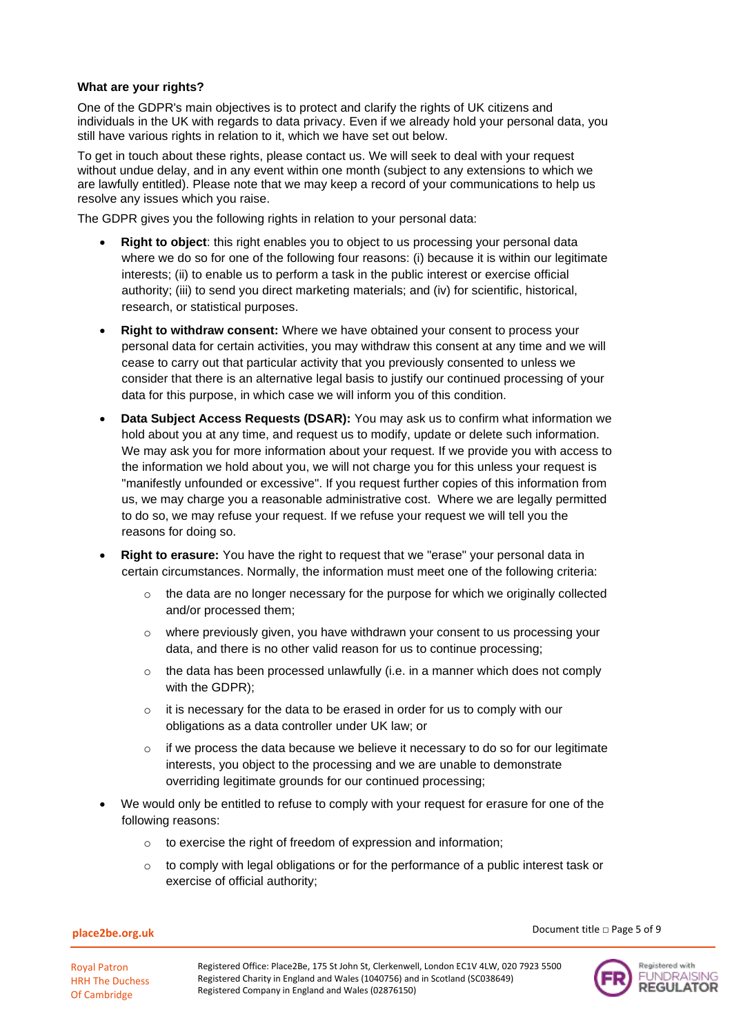### **What are your rights?**

One of the GDPR's main objectives is to protect and clarify the rights of UK citizens and individuals in the UK with regards to data privacy. Even if we already hold your personal data, you still have various rights in relation to it, which we have set out below.

To get in touch about these rights, please contact us. We will seek to deal with your request without undue delay, and in any event within one month (subject to any extensions to which we are lawfully entitled). Please note that we may keep a record of your communications to help us resolve any issues which you raise.

The GDPR gives you the following rights in relation to your personal data:

- **Right to object:** this right enables you to object to us processing your personal data where we do so for one of the following four reasons: (i) because it is within our legitimate interests; (ii) to enable us to perform a task in the public interest or exercise official authority; (iii) to send you direct marketing materials; and (iv) for scientific, historical, research, or statistical purposes.
- **Right to withdraw consent:** Where we have obtained your consent to process your personal data for certain activities, you may withdraw this consent at any time and we will cease to carry out that particular activity that you previously consented to unless we consider that there is an alternative legal basis to justify our continued processing of your data for this purpose, in which case we will inform you of this condition.
- **Data Subject Access Requests (DSAR):** You may ask us to confirm what information we hold about you at any time, and request us to modify, update or delete such information. We may ask you for more information about your request. If we provide you with access to the information we hold about you, we will not charge you for this unless your request is "manifestly unfounded or excessive". If you request further copies of this information from us, we may charge you a reasonable administrative cost. Where we are legally permitted to do so, we may refuse your request. If we refuse your request we will tell you the reasons for doing so.
- **Right to erasure:** You have the right to request that we "erase" your personal data in certain circumstances. Normally, the information must meet one of the following criteria:
	- $\circ$  the data are no longer necessary for the purpose for which we originally collected and/or processed them;
	- o where previously given, you have withdrawn your consent to us processing your data, and there is no other valid reason for us to continue processing;
	- $\circ$  the data has been processed unlawfully (i.e. in a manner which does not comply with the GDPR);
	- o it is necessary for the data to be erased in order for us to comply with our obligations as a data controller under UK law; or
	- $\circ$  if we process the data because we believe it necessary to do so for our legitimate interests, you object to the processing and we are unable to demonstrate overriding legitimate grounds for our continued processing;
- We would only be entitled to refuse to comply with your request for erasure for one of the following reasons:
	- o to exercise the right of freedom of expression and information;
	- o to comply with legal obligations or for the performance of a public interest task or exercise of official authority;

```
place2be.org.uk
```
Document title □ Page 5 of 9

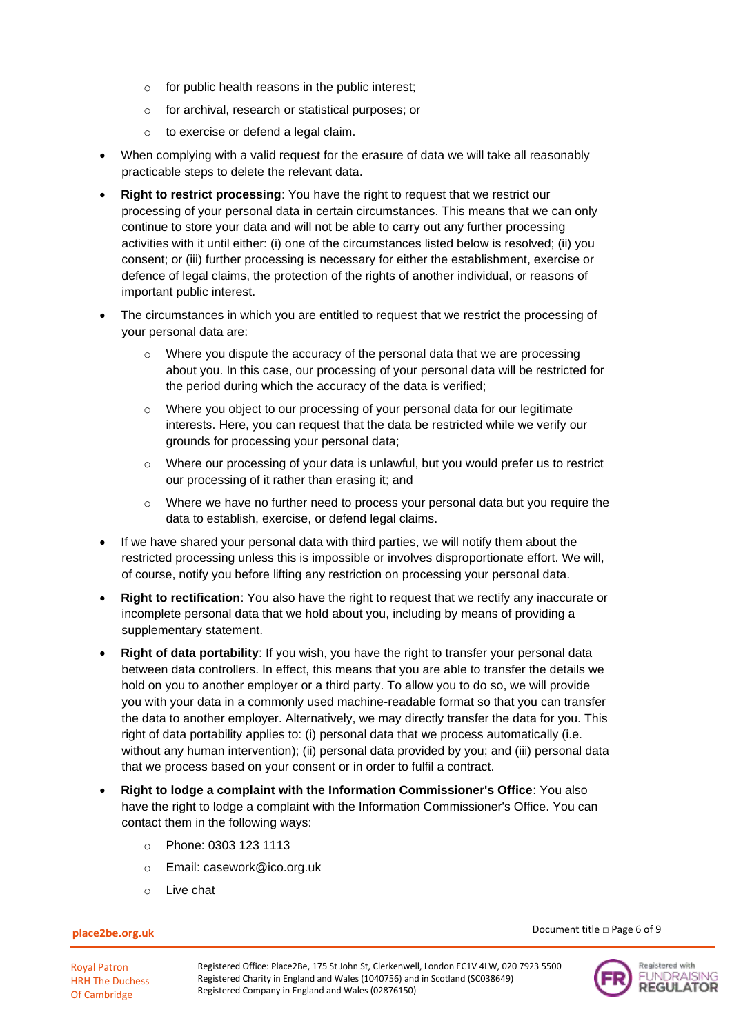- o for public health reasons in the public interest;
- o for archival, research or statistical purposes; or
- o to exercise or defend a legal claim.
- When complying with a valid request for the erasure of data we will take all reasonably practicable steps to delete the relevant data.
- **Right to restrict processing**: You have the right to request that we restrict our processing of your personal data in certain circumstances. This means that we can only continue to store your data and will not be able to carry out any further processing activities with it until either: (i) one of the circumstances listed below is resolved; (ii) you consent; or (iii) further processing is necessary for either the establishment, exercise or defence of legal claims, the protection of the rights of another individual, or reasons of important public interest.
- The circumstances in which you are entitled to request that we restrict the processing of your personal data are:
	- $\circ$  Where you dispute the accuracy of the personal data that we are processing about you. In this case, our processing of your personal data will be restricted for the period during which the accuracy of the data is verified;
	- o Where you object to our processing of your personal data for our legitimate interests. Here, you can request that the data be restricted while we verify our grounds for processing your personal data;
	- $\circ$  Where our processing of your data is unlawful, but you would prefer us to restrict our processing of it rather than erasing it; and
	- $\circ$  Where we have no further need to process your personal data but you require the data to establish, exercise, or defend legal claims.
- If we have shared your personal data with third parties, we will notify them about the restricted processing unless this is impossible or involves disproportionate effort. We will, of course, notify you before lifting any restriction on processing your personal data.
- **Right to rectification**: You also have the right to request that we rectify any inaccurate or incomplete personal data that we hold about you, including by means of providing a supplementary statement.
- **Right of data portability:** If you wish, you have the right to transfer your personal data between data controllers. In effect, this means that you are able to transfer the details we hold on you to another employer or a third party. To allow you to do so, we will provide you with your data in a commonly used machine-readable format so that you can transfer the data to another employer. Alternatively, we may directly transfer the data for you. This right of data portability applies to: (i) personal data that we process automatically (i.e. without any human intervention); (ii) personal data provided by you; and (iii) personal data that we process based on your consent or in order to fulfil a contract.
- **Right to lodge a complaint with the Information Commissioner's Office**: You also have the right to lodge a complaint with the Information Commissioner's Office. You can contact them in the following ways:
	- o Phone: 0303 123 1113
	- o Email: casework@ico.org.uk
	- o Live chat

### **place2be.org.uk**

Royal Patron HRH The Duchess Of Cambridge



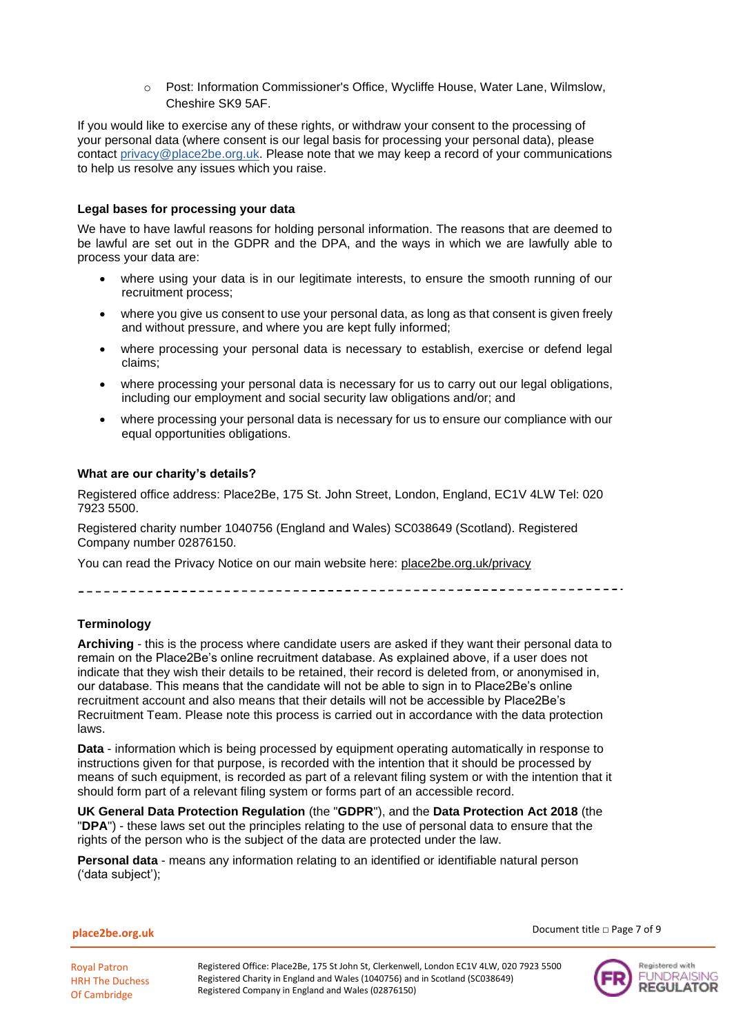o Post: Information Commissioner's Office, Wycliffe House, Water Lane, Wilmslow, Cheshire SK9 5AF.

If you would like to exercise any of these rights, or withdraw your consent to the processing of your personal data (where consent is our legal basis for processing your personal data), please contact [privacy@place2be.org.uk.](mailto:privacy@place2be.org.uk) Please note that we may keep a record of your communications to help us resolve any issues which you raise.

### **Legal bases for processing your data**

We have to have lawful reasons for holding personal information. The reasons that are deemed to be lawful are set out in the GDPR and the DPA, and the ways in which we are lawfully able to process your data are:

- where using your data is in our legitimate interests, to ensure the smooth running of our recruitment process;
- where you give us consent to use your personal data, as long as that consent is given freely and without pressure, and where you are kept fully informed;
- where processing your personal data is necessary to establish, exercise or defend legal claims;
- where processing your personal data is necessary for us to carry out our legal obligations, including our employment and social security law obligations and/or; and
- where processing your personal data is necessary for us to ensure our compliance with our equal opportunities obligations.

### **What are our charity's details?**

Registered office address: Place2Be, 175 St. John Street, London, England, EC1V 4LW Tel: 020 7923 5500.

Registered charity number 1040756 (England and Wales) SC038649 (Scotland). Registered Company number 02876150.

You can read the Privacy Notice on our main website here: place2be.org.uk/privacy

\_\_\_\_\_\_\_\_\_\_\_\_\_\_\_\_\_\_\_

### **Terminology**

**Archiving** - this is the process where candidate users are asked if they want their personal data to remain on the Place2Be's online recruitment database. As explained above, if a user does not indicate that they wish their details to be retained, their record is deleted from, or anonymised in, our database. This means that the candidate will not be able to sign in to Place2Be's online recruitment account and also means that their details will not be accessible by Place2Be's Recruitment Team. Please note this process is carried out in accordance with the data protection laws.

**Data** - information which is being processed by equipment operating automatically in response to instructions given for that purpose, is recorded with the intention that it should be processed by means of such equipment, is recorded as part of a relevant filing system or with the intention that it should form part of a relevant filing system or forms part of an accessible record.

**UK General Data Protection Regulation** (the "**GDPR**"), and the **Data Protection Act 2018** (the "**DPA**") - these laws set out the principles relating to the use of personal data to ensure that the rights of the person who is the subject of the data are protected under the law.

**Personal data** - means any information relating to an identified or identifiable natural person ('data subject');

**place2be.org.uk**

Document title □ Page 7 of 9

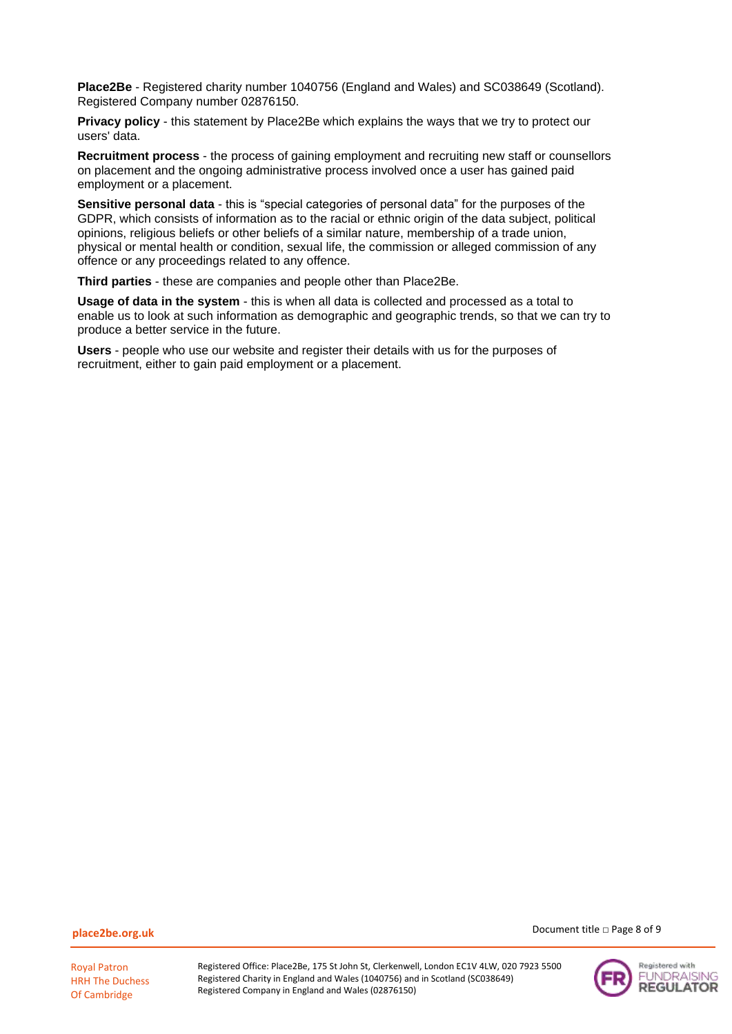**Place2Be** - Registered charity number 1040756 (England and Wales) and SC038649 (Scotland). Registered Company number 02876150.

**Privacy policy** - this statement by Place2Be which explains the ways that we try to protect our users' data.

**Recruitment process** - the process of gaining employment and recruiting new staff or counsellors on placement and the ongoing administrative process involved once a user has gained paid employment or a placement.

**Sensitive personal data** - this is "special categories of personal data" for the purposes of the GDPR, which consists of information as to the racial or ethnic origin of the data subject, political opinions, religious beliefs or other beliefs of a similar nature, membership of a trade union, physical or mental health or condition, sexual life, the commission or alleged commission of any offence or any proceedings related to any offence.

**Third parties** - these are companies and people other than Place2Be.

**Usage of data in the system** - this is when all data is collected and processed as a total to enable us to look at such information as demographic and geographic trends, so that we can try to produce a better service in the future.

**Users** - people who use our website and register their details with us for the purposes of recruitment, either to gain paid employment or a placement.

**place2be.org.uk**

Royal Patron HRH The Duchess Of Cambridge

Registered Office: Place2Be, 175 St John St, Clerkenwell, London EC1V 4LW, 020 7923 5500 Registered Charity in England and Wales (1040756) and in Scotland (SC038649) Registered Company in England and Wales (02876150)

Document title □ Page 8 of 9